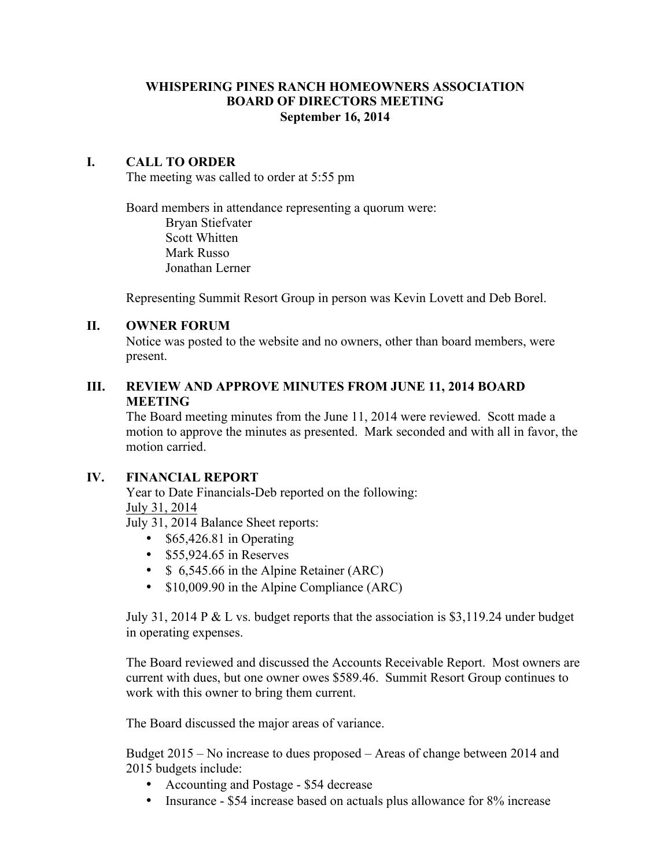### **WHISPERING PINES RANCH HOMEOWNERS ASSOCIATION BOARD OF DIRECTORS MEETING September 16, 2014**

### **I. CALL TO ORDER**

The meeting was called to order at 5:55 pm

Board members in attendance representing a quorum were: Bryan Stiefvater Scott Whitten Mark Russo Jonathan Lerner

Representing Summit Resort Group in person was Kevin Lovett and Deb Borel.

#### **II. OWNER FORUM**

Notice was posted to the website and no owners, other than board members, were present.

### **III. REVIEW AND APPROVE MINUTES FROM JUNE 11, 2014 BOARD MEETING**

The Board meeting minutes from the June 11, 2014 were reviewed. Scott made a motion to approve the minutes as presented. Mark seconded and with all in favor, the motion carried.

#### **IV. FINANCIAL REPORT**

Year to Date Financials-Deb reported on the following: July 31, 2014

July 31, 2014 Balance Sheet reports:

- \$65,426.81 in Operating
- \$55,924.65 in Reserves
- \$ 6,545.66 in the Alpine Retainer (ARC)
- \$10,009.90 in the Alpine Compliance (ARC)

July 31, 2014 P & L vs. budget reports that the association is \$3,119.24 under budget in operating expenses.

The Board reviewed and discussed the Accounts Receivable Report. Most owners are current with dues, but one owner owes \$589.46. Summit Resort Group continues to work with this owner to bring them current.

The Board discussed the major areas of variance.

Budget 2015 – No increase to dues proposed – Areas of change between 2014 and 2015 budgets include:

- Accounting and Postage \$54 decrease
- Insurance \$54 increase based on actuals plus allowance for 8% increase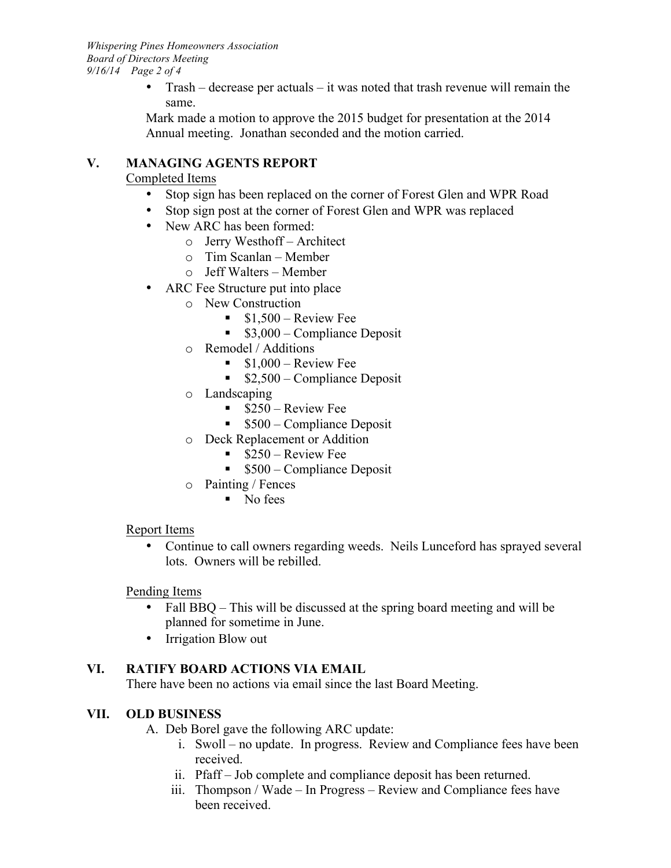• Trash – decrease per actuals – it was noted that trash revenue will remain the same.

Mark made a motion to approve the 2015 budget for presentation at the 2014 Annual meeting. Jonathan seconded and the motion carried.

# **V. MANAGING AGENTS REPORT**

## Completed Items

- Stop sign has been replaced on the corner of Forest Glen and WPR Road
- Stop sign post at the corner of Forest Glen and WPR was replaced
- New ARC has been formed:
	- o Jerry Westhoff Architect
	- o Tim Scanlan Member
	- o Jeff Walters Member
- ARC Fee Structure put into place
	- o New Construction
		- $\bullet$  \$1,500 Review Fee
		- \$3,000 Compliance Deposit
	- o Remodel / Additions
		- $\blacksquare$  \$1,000 Review Fee
		- $\bullet$  \$2,500 Compliance Deposit
	- o Landscaping
		- $\sim$  \$250 Review Fee
		- \$500 Compliance Deposit
	- o Deck Replacement or Addition
		- \$250 Review Fee
		- \$500 Compliance Deposit
	- o Painting / Fences
		- No fees

## Report Items

• Continue to call owners regarding weeds. Neils Lunceford has sprayed several lots. Owners will be rebilled.

## Pending Items

- Fall BBQ This will be discussed at the spring board meeting and will be planned for sometime in June.
- Irrigation Blow out

# **VI. RATIFY BOARD ACTIONS VIA EMAIL**

There have been no actions via email since the last Board Meeting.

## **VII. OLD BUSINESS**

A. Deb Borel gave the following ARC update:

- i. Swoll no update. In progress. Review and Compliance fees have been received.
- ii. Pfaff Job complete and compliance deposit has been returned.
- iii. Thompson / Wade In Progress Review and Compliance fees have been received.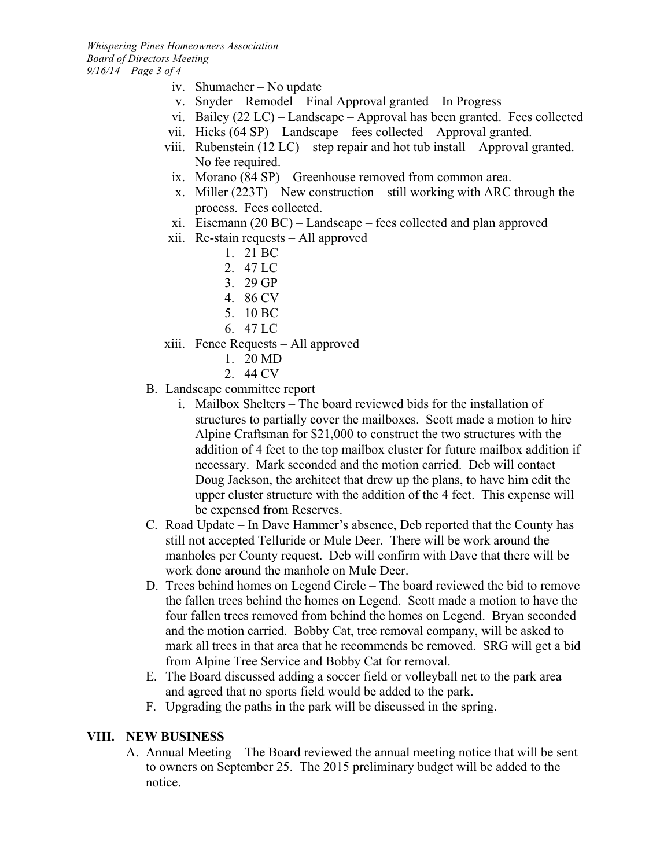- iv. Shumacher No update
- v. Snyder Remodel Final Approval granted In Progress
- vi. Bailey (22 LC) Landscape Approval has been granted. Fees collected
- vii. Hicks (64 SP) Landscape fees collected Approval granted.
- viii. Rubenstein  $(12 LC)$  step repair and hot tub install Approval granted. No fee required.
- ix. Morano (84 SP) Greenhouse removed from common area.
- x. Miller  $(223T)$  New construction still working with ARC through the process. Fees collected.
- xi. Eisemann (20 BC) Landscape fees collected and plan approved
- xii. Re-stain requests All approved
	- 1. 21 BC
	- 2. 47 LC
	- 3. 29 GP
	- 4. 86 CV
	- 5. 10 BC
	- 6. 47 LC
- xiii. Fence Requests All approved
	- 1. 20 MD
	- 2. 44 CV
- B. Landscape committee report
	- i. Mailbox Shelters The board reviewed bids for the installation of structures to partially cover the mailboxes. Scott made a motion to hire Alpine Craftsman for \$21,000 to construct the two structures with the addition of 4 feet to the top mailbox cluster for future mailbox addition if necessary. Mark seconded and the motion carried. Deb will contact Doug Jackson, the architect that drew up the plans, to have him edit the upper cluster structure with the addition of the 4 feet. This expense will be expensed from Reserves.
- C. Road Update In Dave Hammer's absence, Deb reported that the County has still not accepted Telluride or Mule Deer. There will be work around the manholes per County request. Deb will confirm with Dave that there will be work done around the manhole on Mule Deer.
- D. Trees behind homes on Legend Circle The board reviewed the bid to remove the fallen trees behind the homes on Legend. Scott made a motion to have the four fallen trees removed from behind the homes on Legend. Bryan seconded and the motion carried. Bobby Cat, tree removal company, will be asked to mark all trees in that area that he recommends be removed. SRG will get a bid from Alpine Tree Service and Bobby Cat for removal.
- E. The Board discussed adding a soccer field or volleyball net to the park area and agreed that no sports field would be added to the park.
- F. Upgrading the paths in the park will be discussed in the spring.

#### **VIII. NEW BUSINESS**

A. Annual Meeting – The Board reviewed the annual meeting notice that will be sent to owners on September 25. The 2015 preliminary budget will be added to the notice.